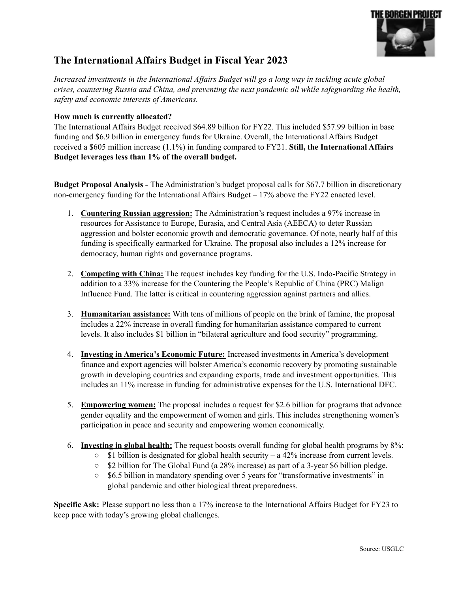

# **The International Affairs Budget in Fiscal Year 2023**

*Increased investments in the International Af airs Budget will go a long way in tackling acute global crises, countering Russia and China, and preventing the next pandemic all while safeguarding the health, safety and economic interests of Americans.*

# **How much is currently allocated?**

The International Affairs Budget received \$64.89 billion for FY22. This included \$57.99 billion in base funding and \$6.9 billion in emergency funds for Ukraine. Overall, the International Affairs Budget received a \$605 million increase (1.1%) in funding compared to FY21. **Still, the International Affairs Budget leverages less than 1% of the overall budget.**

**Budget Proposal Analysis -** The Administration's budget proposal calls for \$67.7 billion in discretionary non-emergency funding for the International Affairs Budget – 17% above the FY22 enacted level.

- 1. **Countering Russian aggression:** The Administration's request includes a 97% increase in resources for Assistance to Europe, Eurasia, and Central Asia (AEECA) to deter Russian aggression and bolster economic growth and democratic governance. Of note, nearly half of this funding is specifically earmarked for Ukraine. The proposal also includes a 12% increase for democracy, human rights and governance programs.
- 2. **Competing with China:** The request includes key funding for the U.S. Indo-Pacific Strategy in addition to a 33% increase for the Countering the People's Republic of China (PRC) Malign Influence Fund. The latter is critical in countering aggression against partners and allies.
- 3. **Humanitarian assistance:** With tens of millions of people on the brink of famine, the proposal includes a 22% increase in overall funding for humanitarian assistance compared to current levels. It also includes \$1 billion in "bilateral agriculture and food security" programming.
- 4. **Investing in America's Economic Future:** Increased investments in America's development finance and export agencies will bolster America's economic recovery by promoting sustainable growth in developing countries and expanding exports, trade and investment opportunities. This includes an 11% increase in funding for administrative expenses for the U.S. International DFC.
- 5. **Empowering women:** The proposal includes a request for \$2.6 billion for programs that advance gender equality and the empowerment of women and girls. This includes strengthening women's participation in peace and security and empowering women economically.
- 6. **Investing in global health:** The request boosts overall funding for global health programs by 8%:
	- $\circ$  \$1 billion is designated for global health security a 42% increase from current levels.
	- \$2 billion for The Global Fund (a 28% increase) as part of a 3-year \$6 billion pledge.
	- \$6.5 billion in mandatory spending over 5 years for "transformative investments" in global pandemic and other biological threat preparedness.

**Specific Ask:** Please support no less than a 17% increase to the International Affairs Budget for FY23 to keep pace with today's growing global challenges.